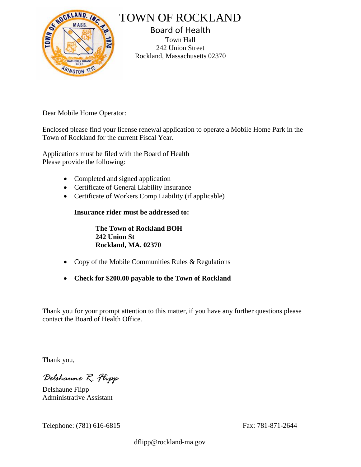

## TOWN OF ROCKLAND

Board of Health Town Hall 242 Union Street Rockland, Massachusetts 02370

Dear Mobile Home Operator:

Enclosed please find your license renewal application to operate a Mobile Home Park in the Town of Rockland for the current Fiscal Year.

Applications must be filed with the Board of Health Please provide the following:

- Completed and signed application
- Certificate of General Liability Insurance
- Certificate of Workers Comp Liability (if applicable)

**Insurance rider must be addressed to:**

**The Town of Rockland BOH 242 Union St Rockland, MA. 02370**

- Copy of the Mobile Communities Rules & Regulations
- **Check for \$200.00 payable to the Town of Rockland**

Thank you for your prompt attention to this matter, if you have any further questions please contact the Board of Health Office.

Thank you,

*Delshaune R. Flipp*

Delshaune Flipp Administrative Assistant

Telephone: (781) 616-6815 Fax: 781-871-2644